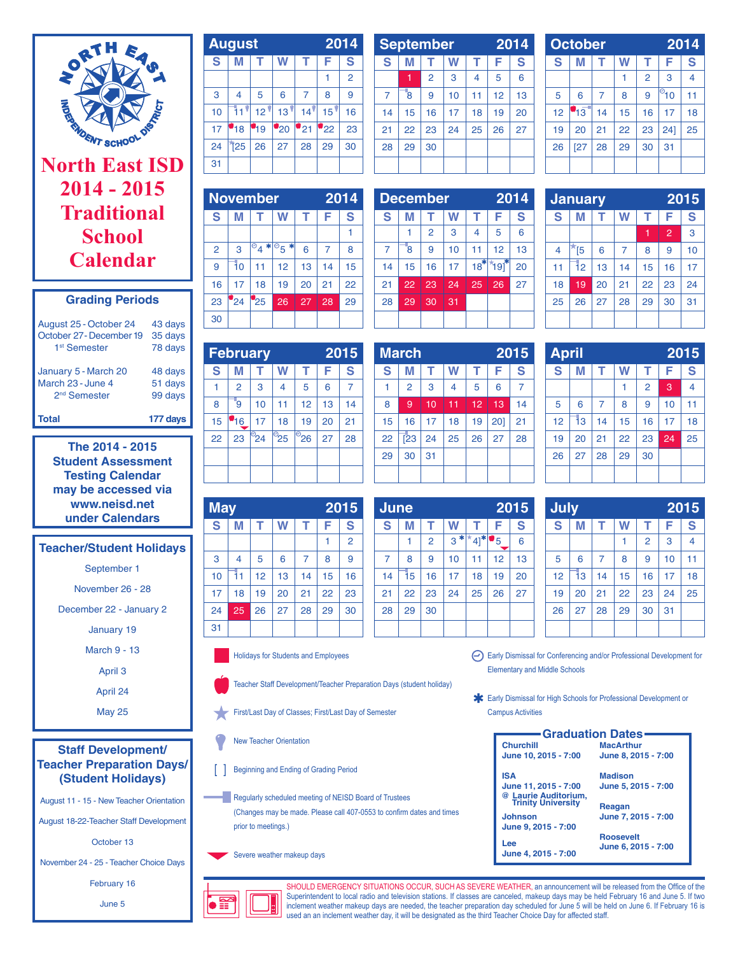

# **North East ISD 2014 - 2015 Traditional School Calendar**

| <b>Grading Periods</b>   |         |  |  |  |  |
|--------------------------|---------|--|--|--|--|
| August 25 - October 24   | 43 days |  |  |  |  |
| October 27 - December 19 | 35 days |  |  |  |  |
| 1 <sup>st</sup> Semester | 78 days |  |  |  |  |

January 5 - March 20 48 days March 23 - June 4 51 days 2nd Semester 99 days **Total 177 days**

> **The 2014 - 2015 Student Assessment Testing Calendar may be accessed via www.neisd.net under Calendars**

# **Teacher/Student Holidays**

September 1

November 26 - 28

December 22 - January 2

January 19

March 9 - 13

April 3

April 24

May 25

#### **Staff Development/ Teacher Preparation Days/ (Student Holidays)**

August 11 - 15 - New Teacher Orientation

August 18-22-Teacher Staff Development

October 13

November 24 - 25 - Teacher Choice Days

February 16

June 5

|    | <b>August</b>   |                 | 2014              |                 |                           |                |
|----|-----------------|-----------------|-------------------|-----------------|---------------------------|----------------|
| S  |                 |                 |                   | т               | F                         | S              |
|    |                 |                 |                   |                 |                           | $\overline{2}$ |
| 3  | 4               | 5               | 6                 | 7               | 8                         | 9              |
| 10 |                 | 12 <sup>1</sup> | 13                | 14 <sup>1</sup> | 15                        | 16             |
| 17 | 18              | 19              | $\mathbf{P}_{20}$ | 21              | $^{\prime}$ <sub>22</sub> | 23             |
| 24 | $\overline{25}$ | 26              | 27                | 28              | 29                        | 30             |
| 31 |                 |                 |                   |                 |                           |                |

|    | <b>September</b> |                | 2014 |                |    |    |
|----|------------------|----------------|------|----------------|----|----|
| S  | М                |                | W    |                | F  | S  |
|    |                  | $\overline{2}$ | 3    | $\overline{4}$ | 5  | 6  |
| 7  | 8                | 9              | 10   | 11             | 12 | 13 |
| 14 | 15               | 16             | 17   | 18             | 19 | 20 |
| 21 | 22               | 23             | 24   | 25             | 26 | 27 |
| 28 | 29               | 30             |      |                |    |    |
|    |                  |                |      |                |    |    |

|    | <b>October</b>  |    | 2014 |                |                   |    |
|----|-----------------|----|------|----------------|-------------------|----|
| S  | М               |    | W    |                | F                 | S  |
|    |                 |    |      | $\overline{2}$ | 3                 | 4  |
| 5  | 6               | 7  | 8    | 9              | ା <sup>ව</sup> 10 | 11 |
| 12 | $4\overline{3}$ | 14 | 15   | 16             | 17                | 18 |
| 19 | 20              | 21 | 22   | 23             | 24]               | 25 |
| 26 | [27]            | 28 | 29   | 30             | 31                |    |
|    |                 |    |      |                |                   |    |

|                |          | <b>November</b>        |                           |    | 2014 |    |   |
|----------------|----------|------------------------|---------------------------|----|------|----|---|
| S              | М        | т                      | W                         | т  | F    | S  |   |
|                |          |                        |                           |    |      |    |   |
| $\overline{2}$ | 3        | $\overline{\circ}_4$ * | $\overline{\circ}_5$<br>* | 6  | 7    | 8  |   |
| 9              | ٦o       | 11                     | 12                        | 13 | 14   | 15 | 1 |
| 16             | 17       | 18                     | 19                        | 20 | 21   | 22 | 2 |
| 23             | $^{124}$ | 25                     | 26                        | 27 | 28   | 29 | 2 |
| 30             |          |                        |                           |    |      |    |   |
|                |          |                        |                           |    |      |    |   |

**February 2015 S M T W T F S** 1 2 3 4 5 6 7 8 | ໋9 | 10 | 11 | 12 | 13 | 14 15 | 16 | 17 | 18 | 19 | 20 | 21 22 23 24 25 26 27 28

31

|                | <b>December</b> |                | 2014 |       |        |    |
|----------------|-----------------|----------------|------|-------|--------|----|
| S              | М               | т              | W    | т     | F      | S  |
|                |                 | $\overline{2}$ | 3    | 4     | 5      | 6  |
| $\overline{7}$ | ß,              | 9              | 10   | 11    | 12     | 13 |
| 14             | 15              | 16             | 17   | $18*$ | ั191ัื | 20 |
| 21             | 22              | 23             | 24   | 25    | 26     | 27 |
| 28             | 29              | 30             | 31   |       |        |    |
|                |                 |                |      |       |        |    |

|                | <b>January</b> |    |    | 2015 |                |    |
|----------------|----------------|----|----|------|----------------|----|
| S              | М              |    | W  |      | F              | S  |
|                |                |    |    |      | $\overline{2}$ | 3  |
| $\overline{4}$ | <sup>[5</sup>  | 6  | 7  | 8    | 9              | 10 |
| 11             | 12             | 13 | 14 | 15   | 16             | 17 |
| 18             | 19             | 20 | 21 | 22   | 23             | 24 |
| 25             | 26             | 27 | 28 | 29   | 30             | 31 |
|                |                |    |    |      |                |    |

**April 2015 S M T W T F S** 1 2 3 4 5 6 7 8 9 10 11 12 13 14 15 16 17 18 19 20 21 22 23 24 25

|    | <b>March</b>      |    | 2015 |    |     |    |
|----|-------------------|----|------|----|-----|----|
| S  | М                 | т  | W    | т  | F   | S  |
| 1  | $\overline{2}$    | 3  | 4    | 5  | 6   | 7  |
| 8  | 9                 | 10 | 11   | 12 | 13  | 14 |
| 15 | 16                | 17 | 18   | 19 | 201 | 21 |
| 22 | $\overline{1}$ 23 | 24 | 25   | 26 | 27  | 28 |
| 29 | 30                | 31 |      |    |     |    |
|    |                   |    |      |    |     |    |

| 2015<br>June   |    |                |       |               |    |    |  |
|----------------|----|----------------|-------|---------------|----|----|--|
| S              | М  | т              | W     | т             | F  | S  |  |
|                |    | $\overline{2}$ | $3 *$ | ★<br>$4]^{*}$ | '5 | 6  |  |
| $\overline{7}$ | 8  | 9              | 10    | 11            | 12 | 13 |  |
| 14             | Ī5 | 16             | 17    | 18            | 19 | 20 |  |
| 21             | 22 | 23             | 24    | 25            | 26 | 27 |  |
| 28             | 29 | 30             |       |               |    |    |  |
|                |    |                |       |               |    |    |  |

| <b>July</b>             |    |                |    |                |    | 2015 |
|-------------------------|----|----------------|----|----------------|----|------|
| $\overline{\mathbf{s}}$ | М  | т              | W  | т              | F  | S    |
|                         |    |                |    | $\overline{2}$ | 3  | 4    |
| 5                       | 6  | $\overline{7}$ | 8  | 9              | 10 | 11   |
| 12                      | ĪЗ | 14             | 15 | 16             | 17 | 18   |
| 19                      | 20 | 21             | 22 | 23             | 24 | 25   |
| 26                      | 27 | 28             | 29 | 30             | 31 |      |
|                         |    |                |    |                |    |      |

26 27 28 29 30

Holidays for Students and Employees

**May 2015 S M T W T F S** 1 2 3 | 4 | 5 | 6 | 7 | 8 | 9 10 11 12 13 14 15 16 17 | 18 | 19 | 20 | 21 | 22 | 23 24 <mark>25</mark> 26 27 28 29 30

Teacher Staff Development/Teacher Preparation Days (student holiday)

First/Last Day of Classes; First/Last Day of Semester

New Teacher Orientation

**Beginning and Ending of Grading Period** 

Regularly scheduled meeting of NEISD Board of Trustees (Changes may be made. Please call 407-0553 to confirm dates and times prior to meetings.)

Severe weather makeup days

Early Dismissal for Conferencing and/or Professional Development for Elementary and Middle Schools

Early Dismissal for High Schools for Professional Development or Campus Activities

| <b>Graduation Dates</b>                    |                     |  |  |  |  |  |  |
|--------------------------------------------|---------------------|--|--|--|--|--|--|
| <b>Churchill</b>                           | <b>MacArthur</b>    |  |  |  |  |  |  |
| June 10, 2015 - 7:00                       | June 8, 2015 - 7:00 |  |  |  |  |  |  |
| <b>ISA</b>                                 | <b>Madison</b>      |  |  |  |  |  |  |
| June 11, 2015 - 7:00                       | June 5, 2015 - 7:00 |  |  |  |  |  |  |
| @ Laurie Auditorium,<br>Trinity University |                     |  |  |  |  |  |  |
|                                            | Reagan              |  |  |  |  |  |  |
| <b>Johnson</b>                             | June 7, 2015 - 7:00 |  |  |  |  |  |  |
| June 9, 2015 - 7:00                        |                     |  |  |  |  |  |  |
|                                            | <b>Roosevelt</b>    |  |  |  |  |  |  |
| Lee                                        | June 6, 2015 - 7:00 |  |  |  |  |  |  |
| June 4, 2015 - 7:00                        |                     |  |  |  |  |  |  |



SHOULD EMERGENCY SITUATIONS OCCUR, SUCH AS SEVERE WEATHER, an announcement will be released from the Office of the Superintendent to local radio and television stations. If classes are canceled, makeup days may be held February 16 and June 5. If two inclement weather makeup days are needed, the teacher preparation day scheduled for June 5 will be held on June 6. If February 16 is used an an inclement weather day, it will be designated as the third Teacher Choice Day for affected staff.